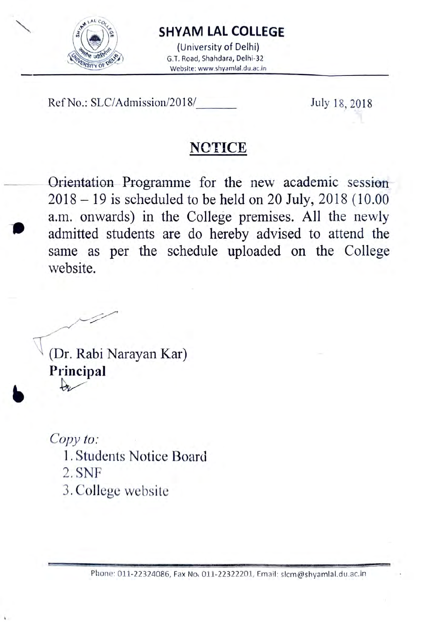

### SHYAM LAL COLLEGE

(University of Delhi)<br>G.T. Road, Shahdara, Delhi-32 Website: www.shyamlal.du.ac.in

Ref No.: SLC/Admission/2018/ July 18, 2018

# **NOTICE**

Orientation Programme for the new academic session  $2018 - 19$  is scheduled to be held on 20 July, 2018 (10.00) a.m. onwards) in the College premises. All the newly admitted students are do hereby advised to attend the same as per the schedule uploaded on the College website.

(Dr. Rabi Narayan Kar) Principal

Copy to:

- 1. Students Notice Board
- 2. SNF
- 3. College website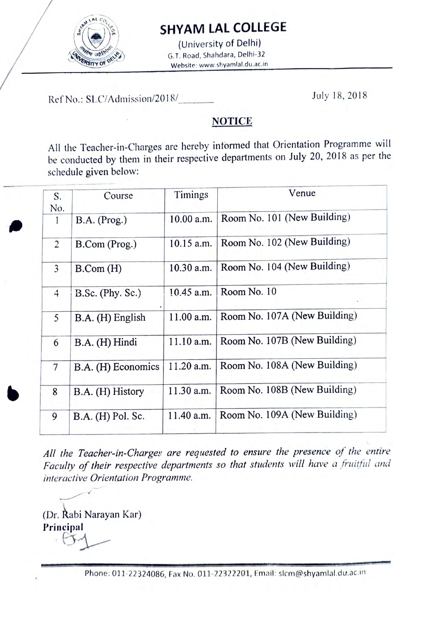

### SHYAM LAL COLLEGE

(University of Delhi)  $\frac{W}{W}$  with  $W$  is  $G$ . T. Road, Shahdara, Delhi-32 Website: www.shyamlal.du.ac.in

Ref No.: SLC/Admission/2018/ July 18, 2018

#### **NOTICE**

All the Teacher-in-Charges are hereby informed that Orientation Programme will be conducted by them in their respective departments on July 20, 2018 as per the schedule given below:

| S.             | Course             | Timings      | Venue                        |
|----------------|--------------------|--------------|------------------------------|
| No.            |                    |              |                              |
| 1              | B.A. (Prog.)       | 10.00 a.m.   | Room No. 101 (New Building)  |
| $\overline{c}$ | B.Com (Prog.)      | $10.15$ a.m. | Room No. 102 (New Building)  |
| 3              | B. Com (H)         | $10.30$ a.m. | Room No. 104 (New Building)  |
| $\overline{4}$ | B.Sc. (Phy. Sc.)   | 10.45 a.m.   | Room No. 10                  |
| 5              | B.A. (H) English   | 11.00 a.m.   | Room No. 107A (New Building) |
| 6              | B.A. (H) Hindi     | $11.10$ a.m. | Room No. 107B (New Building) |
| $\overline{7}$ | B.A. (H) Economics | $11.20$ a.m. | Room No. 108A (New Building) |
| 8              | B.A. (H) History   | 11.30 a.m.   | Room No. 108B (New Building) |
| 9              | B.A. (H) Pol. Sc.  | 11.40 a.m.   | Room No. 109A (New Building) |

All the Teacher-in-Charges are requested to ensure the presence of the entire Faculty of their respective departments so that students will have a fruitful and interactive Orientation Programme.

(Dr. Rabi Narayan Kar) Principal

Phone: 011-22324086, Fax No. 011-22322201, Email: slcm@shyamlal.du.ac.in